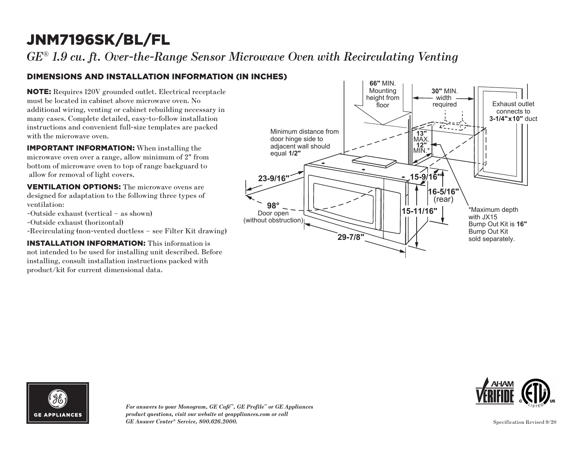# JNM7196SK/BL/FL

*GE*® *1.9 cu. ft. Over-the-Range Sensor Microwave Oven with Recirculating Venting*

### DIMENSIONS AND INSTALLATION INFORMATION (IN INCHES)

NOTE: Requires 120V grounded outlet. Electrical receptacle must be located in cabinet above microwave oven. No additional wiring, venting or cabinet rebuilding necessary in many cases. Complete detailed, easy-to-follow installation instructions and convenient full-size templates are packed with the microwave oven.

IMPORTANT INFORMATION: When installing the microwave oven over a range, allow minimum of 2" from bottom of microwave oven to top of range backguard to allow for removal of light covers.

VENTILATION OPTIONS: The microwave ovens are designed for adaptation to the following three types of ventilation:

- -Outside exhaust (vertical as shown)
- -Outside exhaust (horizontal)
- -Recirculating (non-vented ductless see Filter Kit drawing)

INSTALLATION INFORMATION: This information is not intended to be used for installing unit described. Before installing, consult installation instructions packed with product/kit for current dimensional data.







*For answers to your Monogram, GE Café™, GE Profile™ or GE Appliances product questions, visit our website at geappliances.com or call GE Answer Center® Service, 800.626.2000.*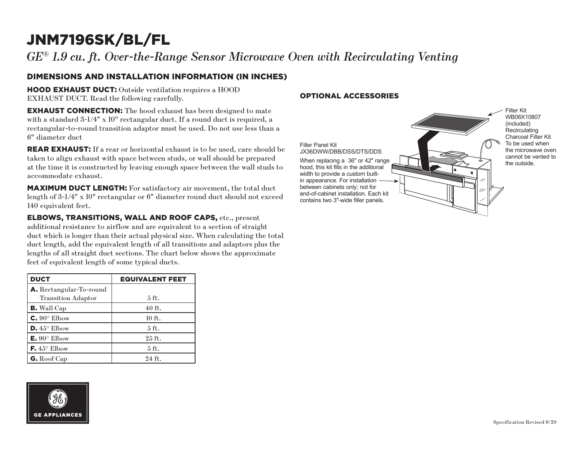## JNM7196SK/BL/FL

### *GE*® *1.9 cu. ft. Over-the-Range Sensor Microwave Oven with Recirculating Venting*

#### DIMENSIONS AND INSTALLATION INFORMATION (IN INCHES)

HOOD EXHAUST DUCT: Outside ventilation requires a HOOD EXHAUST DUCT. Read the following carefully.

**EXHAUST CONNECTION:** The hood exhaust has been designed to mate with a standard 3-1/4" x 10" rectangular duct. If a round duct is required, a rectangular-to-round transition adaptor must be used. Do not use less than a 6" diameter duct

**REAR EXHAUST:** If a rear or horizontal exhaust is to be used, care should be taken to align exhaust with space between studs, or wall should be prepared at the time it is constructed by leaving enough space between the wall studs to accommodate exhaust.

MAXIMUM DUCT LENGTH: For satisfactory air movement, the total duct length of 3-1/4" x 10" rectangular or 6" diameter round duct should not exceed 140 equivalent feet.

ELBOWS, TRANSITIONS, WALL AND ROOF CAPS, etc., present additional resistance to airflow and are equivalent to a section of straight duct which is longer than their actual physical size. When calculating the total duct length, add the equivalent length of all transitions and adaptors plus the lengths of all straight duct sections. The chart below shows the approximate feet of equivalent length of some typical ducts.

| <b>DUCT</b>                    | <b>EQUIVALENT FEET</b> |
|--------------------------------|------------------------|
| <b>A.</b> Rectangular-To-round |                        |
| <b>Transition Adaptor</b>      | 5 ft.                  |
| <b>B.</b> Wall Cap             | $40$ ft.               |
| $C. 90^\circ$ Elbow            | $10$ ft.               |
| $\mathsf{D.45}^{\circ}$ Elbow  | 5 ft.                  |
| $E. 90^{\circ}$ Elbow          | $25$ ft.               |
| $\mathsf{F.}45^{\circ}$ Elbow  | 5 <sub>ft</sub>        |
| $G.$ Roof Cap                  | 24 ft.                 |



#### OPTIONAL ACCESSORIES